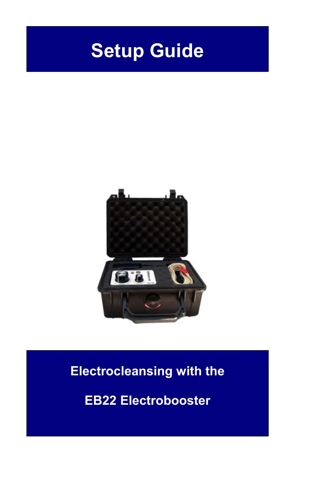# **Setup Guide**



### **Electrocleansing with the**

**EB22 Electrobooster**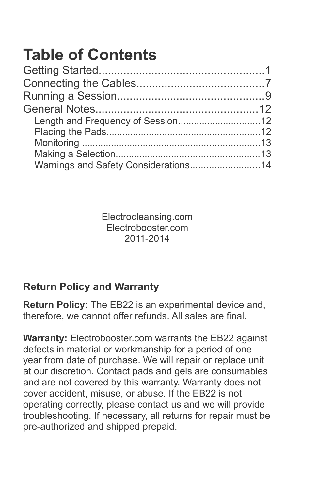## **Table of Contents**

Electrocleansing.com Electrobooster.com 2011-2014

### **Return Policy and Warranty**

**Return Policy:** The EB22 is an experimental device and, therefore, we cannot offer refunds. All sales are final.

**Warranty:** Electrobooster.com warrants the EB22 against defects in material or workmanship for a period of one year from date of purchase. We will repair or replace unit at our discretion. Contact pads and gels are consumables and are not covered by this warranty. Warranty does not cover accident, misuse, or abuse. If the EB22 is not operating correctly, please contact us and we will provide troubleshooting. If necessary, all returns for repair must be pre-authorized and shipped prepaid.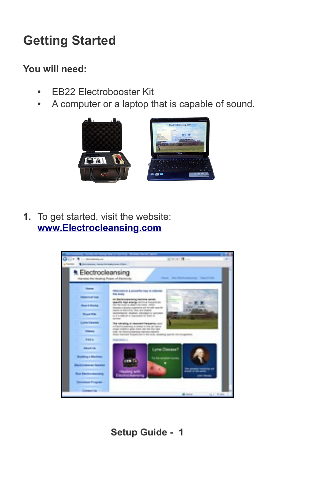### **Getting Started**

#### **You will need:**

- EB22 Electrobooster Kit
- A computer or a laptop that is capable of sound.



**1.** To get started, visit the website: **[www.Electrocleansing.com](http://www.ElectroCleansing.com/)**

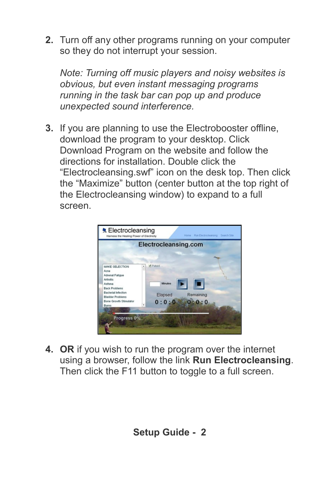**2.** Turn off any other programs running on your computer so they do not interrupt your session.

*Note: Turning off music players and noisy websites is obvious, but even instant messaging programs running in the task bar can pop up and produce unexpected sound interference.*

**3.** If you are planning to use the Electrobooster offline, download the program to your desktop. Click Download Program on the website and follow the directions for installation. Double click the "Electrocleansing.swf" icon on the desk top. Then click the "Maximize" button (center button at the top right of the Electrocleansing window) to expand to a full screen.



**4. OR** if you wish to run the program over the internet using a browser, follow the link **Run Electrocleansing**. Then click the F11 button to toggle to a full screen.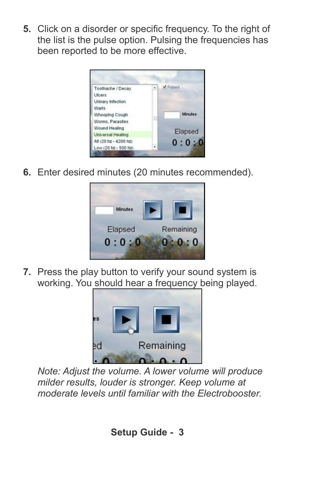**5.** Click on a disorder or specific frequency. To the right of the list is the pulse option. Pulsing the frequencies has been reported to be more effective.



**6.** Enter desired minutes (20 minutes recommended).



**7.** Press the play button to verify your sound system is working. You should hear a frequency being played.



*Note: Adjust the volume. A lower volume will produce milder results, louder is stronger. Keep volume at moderate levels until familiar with the Electrobooster.*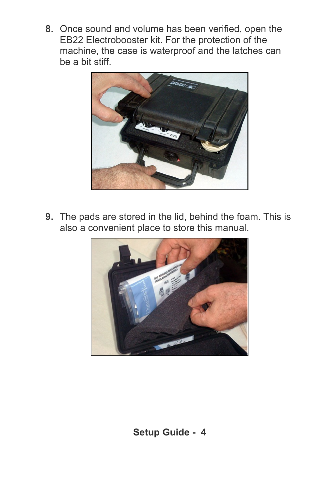**8.** Once sound and volume has been verified, open the EB22 Electrobooster kit. For the protection of the machine, the case is waterproof and the latches can be a bit stiff.



**9.** The pads are stored in the lid, behind the foam. This is also a convenient place to store this manual.

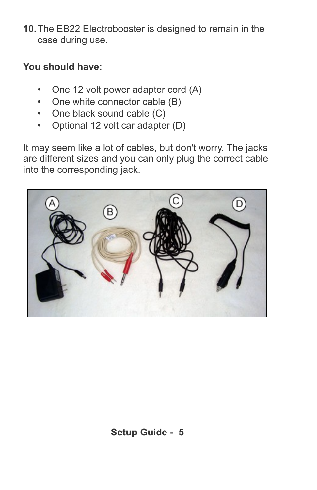**10.**The EB22 Electrobooster is designed to remain in the case during use.

#### **You should have:**

- One 12 volt power adapter cord (A)
- One white connector cable (B)
- One black sound cable (C)
- Optional 12 volt car adapter (D)

It may seem like a lot of cables, but don't worry. The jacks are different sizes and you can only plug the correct cable into the corresponding jack.

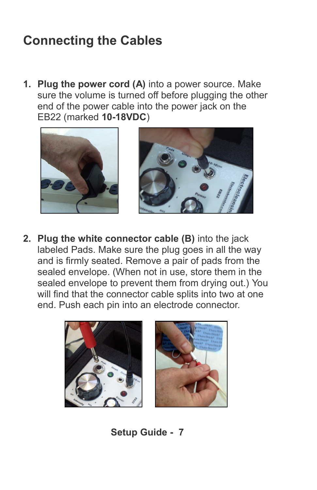### **Connecting the Cables**

**1. Plug the power cord (A)** into a power source. Make sure the volume is turned off before plugging the other end of the power cable into the power jack on the EB22 (marked **10-18VDC**)





**2. Plug the white connector cable (B)** into the jack labeled Pads. Make sure the plug goes in all the way and is firmly seated. Remove a pair of pads from the sealed envelope. (When not in use, store them in the sealed envelope to prevent them from drying out.) You will find that the connector cable splits into two at one end. Push each pin into an electrode connector.

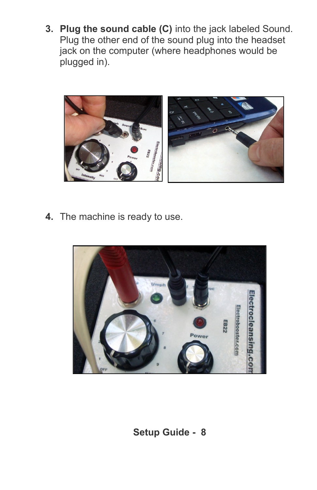**3. Plug the sound cable (C)** into the jack labeled Sound. Plug the other end of the sound plug into the headset jack on the computer (where headphones would be plugged in).



**4.** The machine is ready to use.

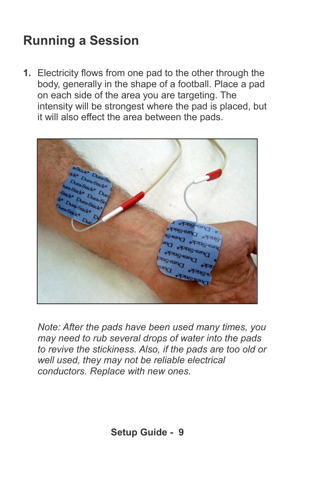### **Running a Session**

**1.** Electricity flows from one pad to the other through the body, generally in the shape of a football. Place a pad on each side of the area you are targeting. The intensity will be strongest where the pad is placed, but it will also effect the area between the pads.



*Note: After the pads have been used many times, you may need to rub several drops of water into the pads to revive the stickiness. Also, if the pads are too old or well used, they may not be reliable electrical conductors. Replace with new ones.*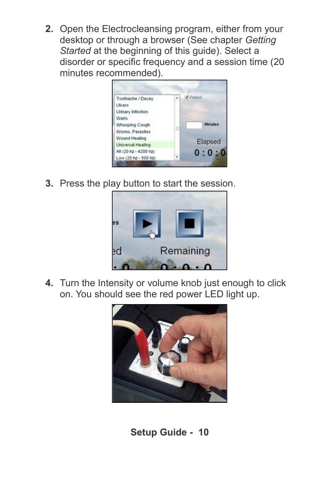**2.** Open the Electrocleansing program, either from your desktop or through a browser (See chapter *Getting Started* at the beginning of this guide). Select a disorder or specific frequency and a session time (20 minutes recommended).



**3.** Press the play button to start the session.



**4.** Turn the Intensity or volume knob just enough to click on. You should see the red power LED light up.

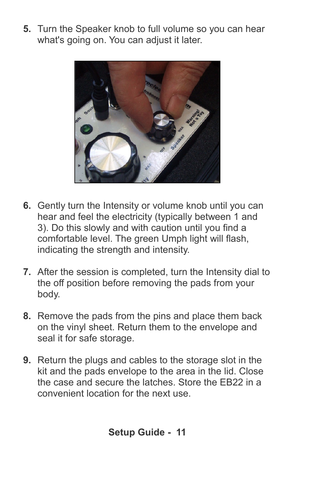**5.** Turn the Speaker knob to full volume so you can hear what's going on. You can adjust it later.



- **6.** Gently turn the Intensity or volume knob until you can hear and feel the electricity (typically between 1 and 3). Do this slowly and with caution until you find a comfortable level. The green Umph light will flash, indicating the strength and intensity.
- **7.** After the session is completed, turn the Intensity dial to the off position before removing the pads from your body.
- **8.** Remove the pads from the pins and place them back on the vinyl sheet. Return them to the envelope and seal it for safe storage.
- **9.** Return the plugs and cables to the storage slot in the kit and the pads envelope to the area in the lid. Close the case and secure the latches. Store the EB22 in a convenient location for the next use.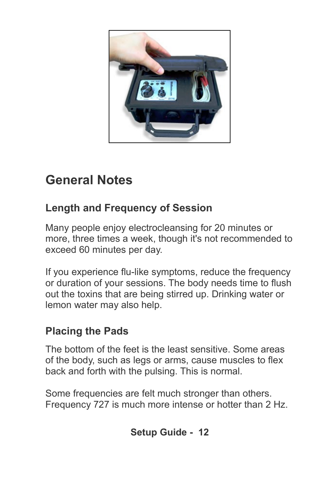

### **General Notes**

#### **Length and Frequency of Session**

Many people enjoy electrocleansing for 20 minutes or more, three times a week, though it's not recommended to exceed 60 minutes per day.

If you experience flu-like symptoms, reduce the frequency or duration of your sessions. The body needs time to flush out the toxins that are being stirred up. Drinking water or lemon water may also help.

#### **Placing the Pads**

The bottom of the feet is the least sensitive. Some areas of the body, such as legs or arms, cause muscles to flex back and forth with the pulsing. This is normal.

Some frequencies are felt much stronger than others. Frequency 727 is much more intense or hotter than 2 Hz.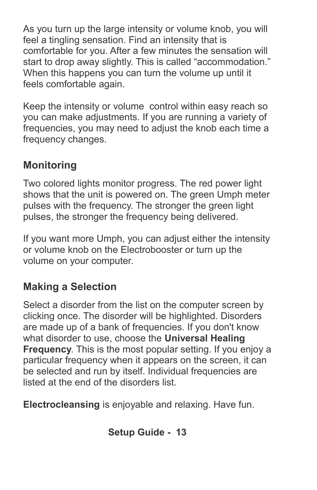As you turn up the large intensity or volume knob, you will feel a tingling sensation. Find an intensity that is comfortable for you. After a few minutes the sensation will start to drop away slightly. This is called "accommodation." When this happens you can turn the volume up until it feels comfortable again.

Keep the intensity or volume control within easy reach so you can make adjustments. If you are running a variety of frequencies, you may need to adjust the knob each time a frequency changes.

#### **Monitoring**

Two colored lights monitor progress. The red power light shows that the unit is powered on. The green Umph meter pulses with the frequency. The stronger the green light pulses, the stronger the frequency being delivered.

If you want more Umph, you can adjust either the intensity or volume knob on the Electrobooster or turn up the volume on your computer.

### **Making a Selection**

Select a disorder from the list on the computer screen by clicking once. The disorder will be highlighted. Disorders are made up of a bank of frequencies. If you don't know what disorder to use, choose the **Universal Healing Frequency**. This is the most popular setting. If you enjoy a particular frequency when it appears on the screen, it can be selected and run by itself. Individual frequencies are listed at the end of the disorders list.

**Electrocleansing** is enjoyable and relaxing. Have fun.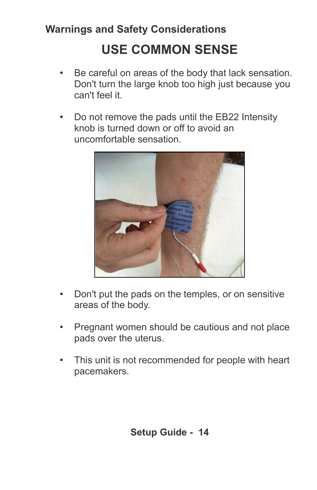### **Warnings and Safety Considerations**

### **USE COMMON SENSE**

- Be careful on areas of the body that lack sensation. Don't turn the large knob too high just because you can't feel it.
- Do not remove the pads until the EB22 Intensity knob is turned down or off to avoid an uncomfortable sensation.



- Don't put the pads on the temples, or on sensitive areas of the body.
- Pregnant women should be cautious and not place pads over the uterus.
- This unit is not recommended for people with heart pacemakers.